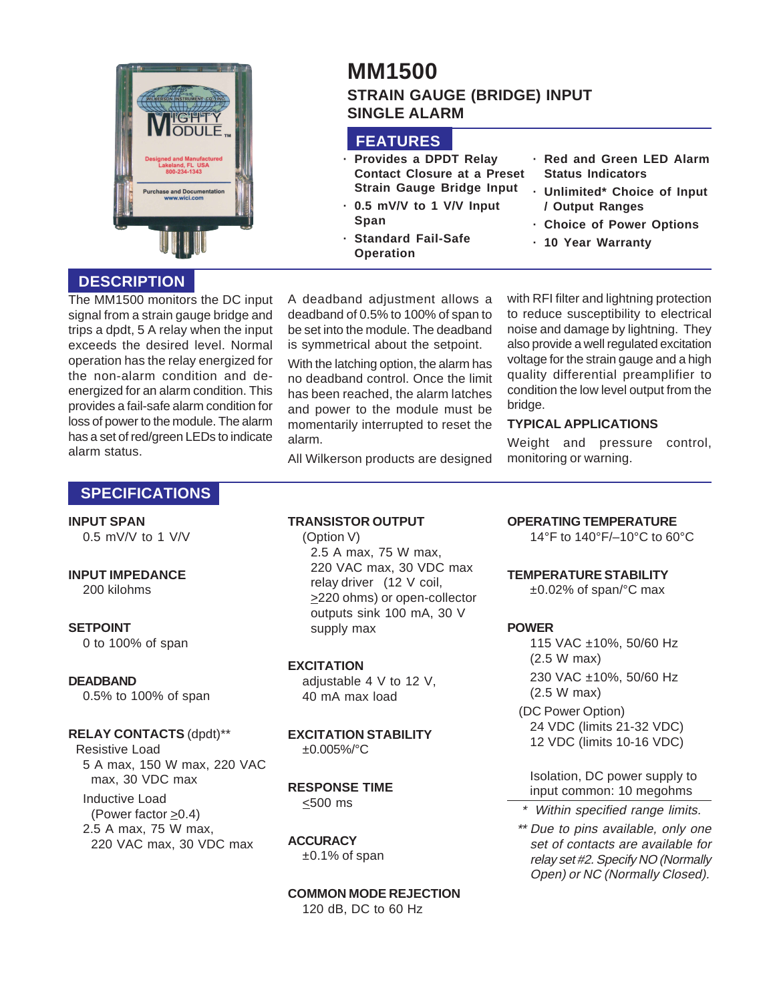

# **MM1500 STRAIN GAUGE (BRIDGE) INPUT SINGLE ALARM**

# **FEATURES**

- **· Provides a DPDT Relay Contact Closure at a Preset Strain Gauge Bridge Input**
- **· 0.5 mV/V to 1 V/V Input Span**
- **· Standard Fail-Safe Operation**
- **· Red and Green LED Alarm Status Indicators**
- **· Unlimited\* Choice of Input / Output Ranges**
- **· Choice of Power Options**
- **· 10 Year Warranty**

# **DESCRIPTION**

The MM1500 monitors the DC input signal from a strain gauge bridge and trips a dpdt, 5 A relay when the input exceeds the desired level. Normal operation has the relay energized for the non-alarm condition and deenergized for an alarm condition. This provides a fail-safe alarm condition for loss of power to the module. The alarm has a set of red/green LEDs to indicate alarm status.

A deadband adjustment allows a deadband of 0.5% to 100% of span to be set into the module. The deadband is symmetrical about the setpoint.

With the latching option, the alarm has no deadband control. Once the limit has been reached, the alarm latches and power to the module must be momentarily interrupted to reset the alarm.

All Wilkerson products are designed

with RFI filter and lightning protection to reduce susceptibility to electrical noise and damage by lightning. They also provide a well regulated excitation voltage for the strain gauge and a high quality differential preamplifier to condition the low level output from the bridge.

### **TYPICAL APPLICATIONS**

Weight and pressure control, monitoring or warning.

# **SPECIFICATIONS**

#### **INPUT SPAN**

0.5 mV/V to 1 V/V

#### **INPUT IMPEDANCE**

200 kilohms

#### **SETPOINT**

0 to 100% of span

#### **DEADBAND**

0.5% to 100% of span

#### **RELAY CONTACTS** (dpdt)\*\*

Resistive Load 5 A max, 150 W max, 220 VAC max, 30 VDC max Inductive Load (Power factor >0.4) 2.5 A max, 75 W max, 220 VAC max, 30 VDC max

# **TRANSISTOR OUTPUT**

(Option V) 2.5 A max, 75 W max, 220 VAC max, 30 VDC max relay driver (12 V coil, >220 ohms) or open-collector outputs sink 100 mA, 30 V supply max

### **EXCITATION**

adjustable 4 V to 12 V, 40 mA max load

#### **EXCITATION STABILITY** ±0.005%/°C

**RESPONSE TIME**  $\leq$ 500 ms

# **ACCURACY**

±0.1% of span

**COMMON MODE REJECTION** 120 dB, DC to 60 Hz

### **OPERATING TEMPERATURE**

14°F to 140°F/–10°C to 60°C

#### **TEMPERATURE STABILITY**

±0.02% of span/°C max

### **POWER**

115 VAC ±10%, 50/60 Hz (2.5 W max) 230 VAC ±10%, 50/60 Hz (2.5 W max)

(DC Power Option) 24 VDC (limits 21-32 VDC) 12 VDC (limits 10-16 VDC)

Isolation, DC power supply to input common: 10 megohms

\* Within specified range limits.

\*\* Due to pins available, only one set of contacts are available for relay set #2. Specify NO (Normally Open) or NC (Normally Closed).